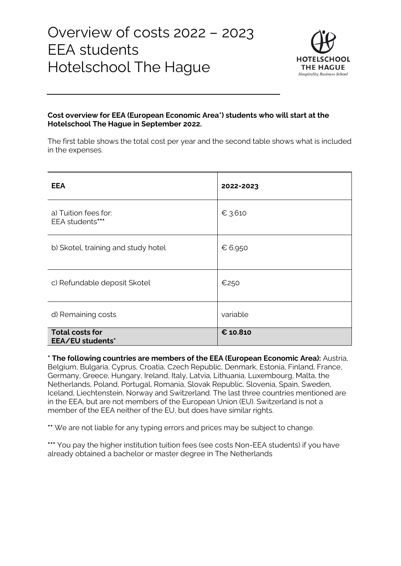

#### **Cost overview for EEA (European Economic Area\*) students who will start at the Hotelschool The Hague in September 2022.**

The first table shows the total cost per year and the second table shows what is included in the expenses.

| <b>EEA</b>                                 | 2022-2023 |
|--------------------------------------------|-----------|
| a) Tuition fees for:<br>EEA students***    | € 3.610   |
| b) Skotel, training and study hotel        | € 6.950   |
| c) Refundable deposit Skotel               | €250      |
| d) Remaining costs                         | variable  |
| <b>Total costs for</b><br>EEA/EU students* | € 10.810  |

**\* The following countries are members of the EEA (European Economic Area):** Austria, Belgium, Bulgaria, Cyprus, Croatia, Czech Republic, Denmark, Estonia, Finland, France, Germany, Greece, Hungary, Ireland, Italy, Latvia, Lithuania, Luxembourg, Malta, the Netherlands, Poland, Portugal, Romania, Slovak Republic, Slovenia, Spain, Sweden, Iceland, Liechtenstein, Norway and Switzerland. The last three countries mentioned are in the EEA, but are not members of the European Union (EU). Switzerland is not a member of the EEA neither of the EU, but does have similar rights.

**\*\*** We are not liable for any typing errors and prices may be subject to change.

**\*\*\*** You pay the higher institution tuition fees (see costs Non-EEA students) if you have already obtained a bachelor or master degree in The Netherlands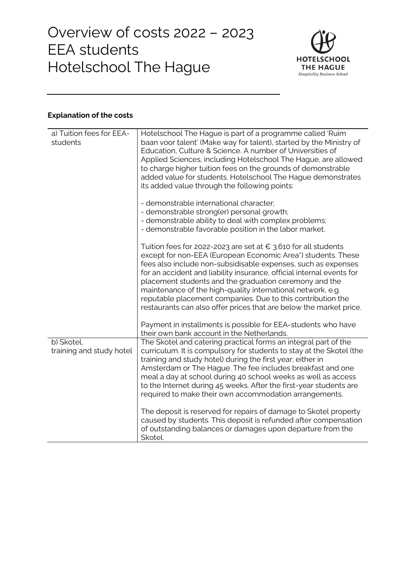

# **Explanation of the costs**

| a) Tuition fees for EEA-<br>students   | Hotelschool The Hague is part of a programme called 'Ruim<br>baan voor talent' (Make way for talent), started by the Ministry of<br>Education, Culture & Science. A number of Universities of<br>Applied Sciences, including Hotelschool The Hague, are allowed<br>to charge higher tuition fees on the grounds of demonstrable<br>added value for students. Hotelschool The Hague demonstrates                                                                                                                                                 |
|----------------------------------------|-------------------------------------------------------------------------------------------------------------------------------------------------------------------------------------------------------------------------------------------------------------------------------------------------------------------------------------------------------------------------------------------------------------------------------------------------------------------------------------------------------------------------------------------------|
|                                        | its added value through the following points:                                                                                                                                                                                                                                                                                                                                                                                                                                                                                                   |
|                                        | - demonstrable international character;<br>- demonstrable strong(er) personal growth;<br>- demonstrable ability to deal with complex problems;<br>- demonstrable favorable position in the labor market.                                                                                                                                                                                                                                                                                                                                        |
|                                        | Tuition fees for 2022-2023 are set at $\epsilon$ 3.610 for all students<br>except for non-EEA (European Economic Area*) students. These<br>fees also include non-subsidisable expenses, such as expenses<br>for an accident and liability insurance, official internal events for<br>placement students and the graduation ceremony and the<br>maintenance of the high-quality international network, e.g.<br>reputable placement companies. Due to this contribution the<br>restaurants can also offer prices that are below the market price. |
|                                        | Payment in installments is possible for EEA-students who have<br>their own bank account in the Netherlands.                                                                                                                                                                                                                                                                                                                                                                                                                                     |
| b) Skotel,<br>training and study hotel | The Skotel and catering practical forms an integral part of the<br>curriculum. It is compulsory for students to stay at the Skotel (the<br>training and study hotel) during the first year; either in<br>Amsterdam or The Hague. The fee includes breakfast and one<br>meal a day at school during 40 school weeks as well as access<br>to the Internet during 45 weeks. After the first-year students are<br>required to make their own accommodation arrangements.                                                                            |
|                                        | The deposit is reserved for repairs of damage to Skotel property<br>caused by students. This deposit is refunded after compensation<br>of outstanding balances or damages upon departure from the<br>Skotel.                                                                                                                                                                                                                                                                                                                                    |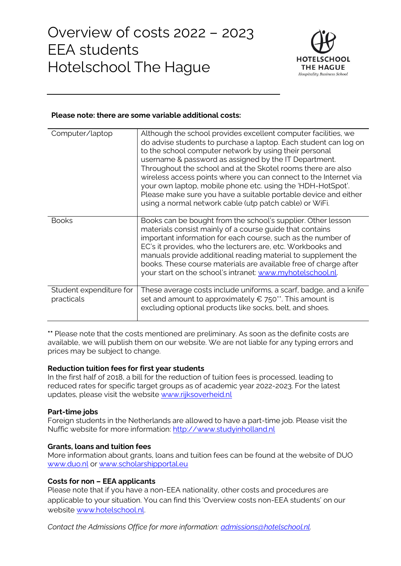

#### **Please note: there are some variable additional costs:**

| Computer/laptop                       | Although the school provides excellent computer facilities, we<br>do advise students to purchase a laptop. Each student can log on<br>to the school computer network by using their personal<br>username & password as assigned by the IT Department.<br>Throughout the school and at the Skotel rooms there are also<br>wireless access points where you can connect to the Internet via<br>your own laptop, mobile phone etc. using the 'HDH-HotSpot'.<br>Please make sure you have a suitable portable device and either<br>using a normal network cable (utp patch cable) or WiFi. |
|---------------------------------------|----------------------------------------------------------------------------------------------------------------------------------------------------------------------------------------------------------------------------------------------------------------------------------------------------------------------------------------------------------------------------------------------------------------------------------------------------------------------------------------------------------------------------------------------------------------------------------------|
| <b>Books</b>                          | Books can be bought from the school's supplier. Other lesson<br>materials consist mainly of a course guide that contains<br>important information for each course, such as the number of<br>EC's it provides, who the lecturers are, etc. Workbooks and<br>manuals provide additional reading material to supplement the<br>books. These course materials are available free of charge after<br>your start on the school's intranet: www.myhotelschool.nl.                                                                                                                             |
| Student expenditure for<br>practicals | These average costs include uniforms, a scarf, badge, and a knife<br>set and amount to approximately $\epsilon$ 750**. This amount is<br>excluding optional products like socks, belt, and shoes.                                                                                                                                                                                                                                                                                                                                                                                      |

**\*\*** Please note that the costs mentioned are preliminary. As soon as the definite costs are available, we will publish them on our website. We are not liable for any typing errors and prices may be subject to change.

#### **Reduction tuition fees for first year students**

In the first half of 2018, a bill for the reduction of tuition fees is processed, leading to reduced rates for specific target groups as of academic year 2022-2023. For the latest updates, please visit the website [www.rijksoverheid.nl](http://www.rijksoverheid.nl/)

# **Part-time jobs**

Foreign students in the Netherlands are allowed to have a part-time job. Please visit the Nuffic website for more information: [http://www.studyinholland.nl](http://www.studyinholland.nl/)

#### **Grants, loans and tuition fees**

More information about grants, loans and tuition fees can be found at the website of DUO [www.duo.nl](http://www.duo.nl/) or [www.scholarshipportal.eu](http://www.scholarshipportal.eu/)

# **Costs for non – EEA applicants**

Please note that if you have a non-EEA nationality, other costs and procedures are applicable to your situation. You can find this 'Overview costs non-EEA students' on our website [www.hotelschool.nl.](http://www.hotelschool.nl/)

*Contact the Admissions Office for more information: [admissions@hotelschool.nl.](mailto:admissions@hotelschool.nl)*